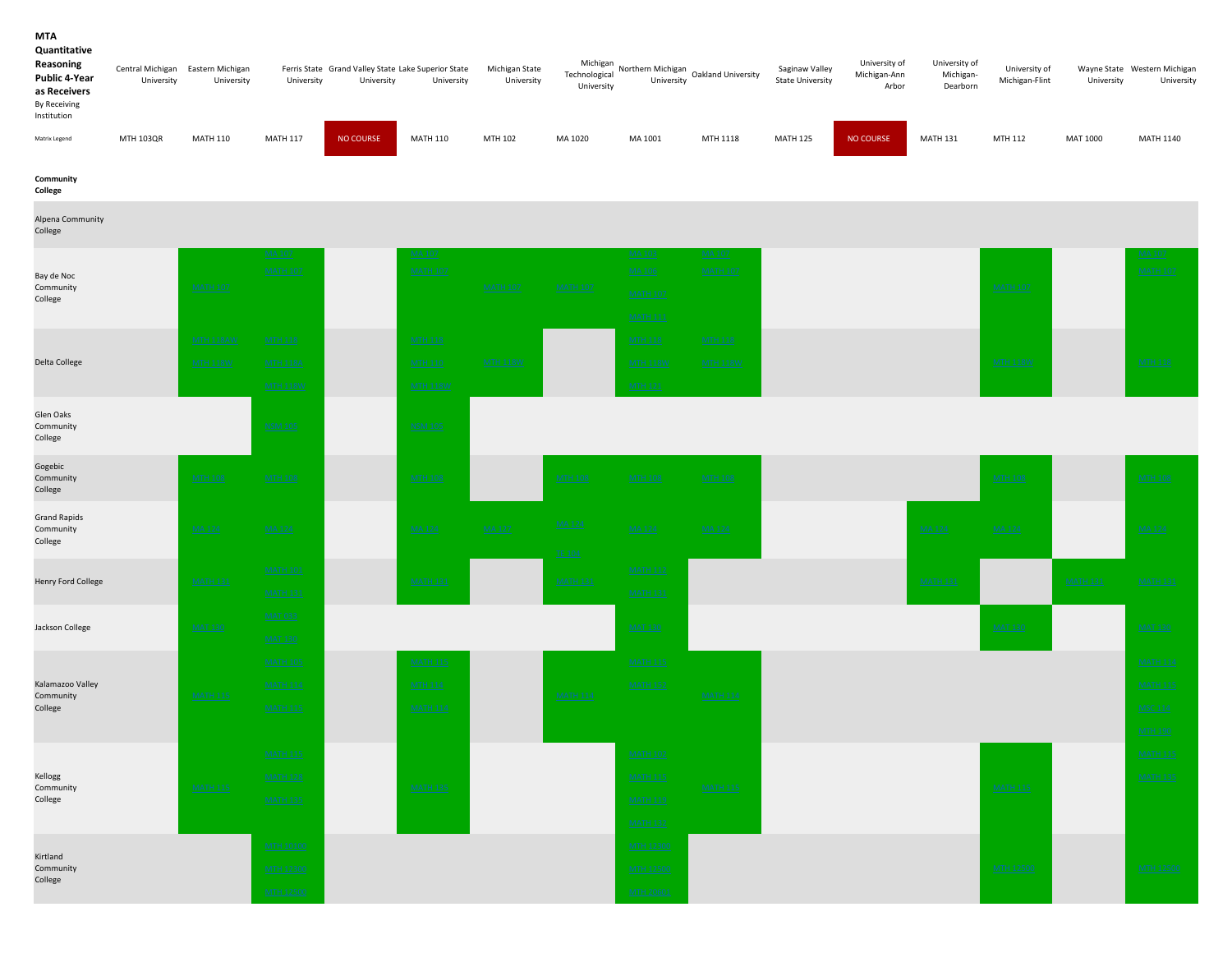### MTA

#### Quantitative

| Reasoning<br><b>Public 4-Year</b><br>as Receivers<br><b>By Receiving</b><br>Institution | Central Michigan Eastern Michigan<br>University | University      | University      | Ferris State Grand Valley State Lake Superior State<br>University | University      | Michigan State<br>University | Michigan<br>Technological<br>University | Northern Michigan<br>University | Oakland University | Saginaw Valley<br><b>State University</b> | University of<br>Michigan-Ann<br>Arbor | University of<br>Michigan-<br>Dearborn | University of<br>Michigan-Flint | University | Wayne State Western Michigan<br>University |
|-----------------------------------------------------------------------------------------|-------------------------------------------------|-----------------|-----------------|-------------------------------------------------------------------|-----------------|------------------------------|-----------------------------------------|---------------------------------|--------------------|-------------------------------------------|----------------------------------------|----------------------------------------|---------------------------------|------------|--------------------------------------------|
| Matrix Legend                                                                           | <b>MTH 103QR</b>                                | <b>MATH 110</b> | <b>MATH 117</b> | <b>NO COURSE</b>                                                  | <b>MATH 110</b> | MTH 102                      | MA 1020                                 | MA 1001                         | MTH 1118           | <b>MATH 125</b>                           | <b>NO COURSE</b>                       | <b>MATH 131</b>                        | MTH 112                         | MAT 1000   | <b>MATH 1140</b>                           |

Community

College Alpena Community College MA 107 MA 107 MA 107 MA 107 MA 103 MA 103 MA 107 MA 107 MA 107 MA 107 MA 107 MA 107 MA 107 MA 107 MA 107 MA 107 MATH 107 MATH 107 MATH 107 MATH 107 MATH 107 MATH 107 MATH 107 MATH 107 MATH 107 MATH 107 MATH 107 MATH 107 MATH 107 MTH 118AW MTH 118 MTH 118 MTH 118 MTH 118 MTH 118W MTH 118A MTH 110 MTH 110 MTH 118W MTH 118W MTH 118W MTH 118W MTH 118W MTH 118W MTH 118W MTH 118W Glen Oaks Community College NSM 105 NSM 105 Gogebic Community College MTH 108 MTH 108 MTH 108 MTH 108 MTH 108 MTH 108 MTH 108 MTH 108 MATH 101 MATH 121 MATH 131 MATH 131 MATH 131 MATH 131 MATH 131 MATH 131 MATH 131 MATH 131 MATH 131 MATH 131 MATH 131 MATH 131 MATH 131 MATH 131 MATH 131 MATH 131 MATH 131 MATH 131 MATH 131 MATH 131 MATH 131 MATH 131 MATH 1 MATH 131 MATH 131 MATH 131 MATH 105 MATH 115 MATH 115 MATH 115 MATH 115 MATH 115 MATH 116 MATH 2018 MATH 2018 MATH 2018 MATH 114 MATH 114 MATH 114 MATH 114 MATH 115 MATH 115 MATH 125 MATH 125 MATH 125 MATH 125 MATH 126 MATH 126 MATH 114 MATH 115 MATH 115 MATH  $115$  Math  $114$  MATH 114 MSC 114 MSC 114 MSC 114 MSC 114 MSC 114 MSC 114 MSC 114 MSC 114 MSC 114 MSC 114 MATH 115 MATH 102 MATH 102 MATH 102 MATH 102 MATH 103 MATH 115 MATH 115 MATH 115 MATH 115 MATH 115 MATH 115 MATH 115 MATH 128 MATH 128 MATH 135 MATH 115 MATH 115 MATH 115 MATH 22 MATH 22 MATH 22 MATH 22 MATH 23 MATH 23 MATH 23 MATH 135 MATH 119 MTH 10100 MTH 12300 MTH 12300 MTH 12300 MTH 12300 MTH 12300 MTH 12300 MTH 12300 MTH 12300 MTH 12300 MTH 12500 MTH 12500 MTH 12500 MTH 12500 MTH 12500 MTH 12500 MTH 12500 MTH 12500 MTH 12500 MTH 12500 MTH 12500 MTH 20601 MTH 12500 MTH 12500 Kirtland Community College MATH 115 MATH 115 MATH 215 Kellogg Community College MATH 115 MATH 135 Kalamazoo Valley Community College MATH 115 MATH 114 MATH 114 MATH 114 MATH 114 MATH 114 MATH 114 MATH 114 MATH 114 MATH 114 MATH 114  $\,$ **Jackson College MAT 130 MAT 130 MAT 130 MAT 130 MAT 130 MAT 130 MAT 130 MAT 130 MAT 130 MAT 130 MAT 130 MAT 130** MATH 131 MATH 131 MATH 131 MATH 131 MATH 131 MATH 131 MATH 131 MATH 131 MATH 131 MATH 131 MATH 131 MATH 131 MA MA 124 MA 124 Henry Ford College MATH 131 MTH 118W MTH 118 Grand Rapids Community College **Delta College And MTH 118W MTH 118A** MTH 118A MTH 110 MTH 118W Bay de Noc Community College MATH 107 MATH 107 MATH 107 MATH 107 MATH 107 MATH 107 MATH 107 MATH 107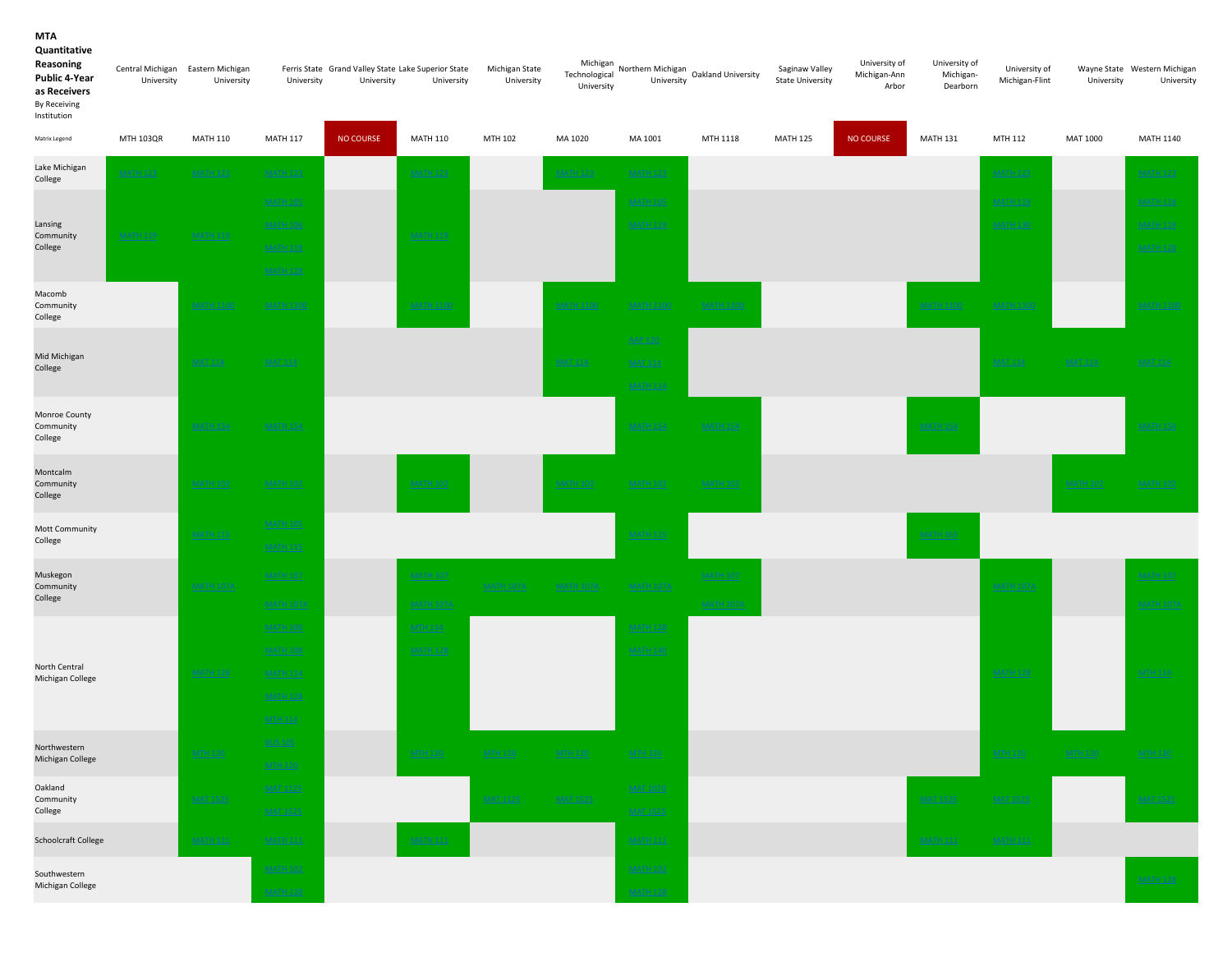#### MTA Quantitative

| Reasoning<br>Public 4-Year<br>as Receivers<br>By Receiving<br>Institution | University       | Central Michigan Eastern Michigan<br>University | University                          | Ferris State Grand Valley State Lake Superior State<br>University | University                          | Michigan State<br>University | Michigan<br>Technological<br>University | University                         | Northern Michigan<br>Cakland University | Saginaw Valley<br><b>State University</b> | University of<br>Michigan-Ann<br>Arbor | University of<br>Michigan-<br>Dearborn | University of<br>Michigan-Flint | University      | Wayne State Western Michigan<br>University |
|---------------------------------------------------------------------------|------------------|-------------------------------------------------|-------------------------------------|-------------------------------------------------------------------|-------------------------------------|------------------------------|-----------------------------------------|------------------------------------|-----------------------------------------|-------------------------------------------|----------------------------------------|----------------------------------------|---------------------------------|-----------------|--------------------------------------------|
| Matrix Legend                                                             | <b>MTH 103QR</b> | <b>MATH 110</b>                                 | <b>MATH 117</b>                     | NO COURSE                                                         | <b>MATH 110</b>                     | MTH 102                      | MA 1020                                 | MA 1001                            | MTH 1118                                | <b>MATH 125</b>                           | <b>NO COURSE</b>                       | <b>MATH 131</b>                        | MTH 112                         | MAT 1000        | <b>MATH 1140</b>                           |
| Lake Michigan<br>College                                                  | <b>MATH 123</b>  | <b>MATH 123</b>                                 | <b>MATH 123</b>                     |                                                                   | <b>MATH 123</b>                     |                              | <b>MATH 123</b>                         | <b>MATH 123</b>                    |                                         |                                           |                                        |                                        | <b>MATH 123</b>                 |                 | <b>MATH 123</b>                            |
|                                                                           |                  |                                                 | <b>MATH 105</b>                     |                                                                   |                                     |                              |                                         | <b>MATH 105</b>                    |                                         |                                           |                                        |                                        | <b>MATH 119</b>                 |                 | <b>MATH 118</b>                            |
| Lansing                                                                   |                  |                                                 | <b>MATH 106</b>                     |                                                                   |                                     |                              |                                         | <b>MATH 119</b>                    |                                         |                                           |                                        |                                        | <b>MATH 130</b>                 |                 | <b>MATH 119</b>                            |
| Community<br>College                                                      | <b>MATH 119</b>  | <b>MATH 119</b>                                 | <b>MATH 119</b>                     |                                                                   | <b>MATH 119</b>                     |                              |                                         |                                    |                                         |                                           |                                        |                                        |                                 |                 | <b>MATH 128</b>                            |
|                                                                           |                  |                                                 | <b>MATH 128</b>                     |                                                                   |                                     |                              |                                         |                                    |                                         |                                           |                                        |                                        |                                 |                 |                                            |
| Macomb<br>Community<br>College                                            |                  | <b>MATH 1100</b>                                | <b>MATH 1100</b>                    |                                                                   | <b>MATH 1100</b>                    |                              | <b>MATH 1100</b>                        | <b>MATH 1100</b>                   | <b>MATH 1100</b>                        |                                           |                                        | <b>MATH 1100</b>                       | <b>MATH 1100</b>                |                 | <b>MATH 1100</b>                           |
|                                                                           |                  |                                                 |                                     |                                                                   |                                     |                              |                                         | <b>AAP 120</b>                     |                                         |                                           |                                        |                                        |                                 |                 |                                            |
| Mid Michigan<br>College                                                   |                  | <b>MAT 114</b>                                  | <b>MAT 114</b>                      |                                                                   |                                     |                              | <b>MAT 114</b>                          | <b>MAT 114</b>                     |                                         |                                           |                                        |                                        | <b>MAT 114</b>                  | <b>MAT 114</b>  | <b>MAT 114</b>                             |
|                                                                           |                  |                                                 |                                     |                                                                   |                                     |                              |                                         | <b>MATH 114</b>                    |                                         |                                           |                                        |                                        |                                 |                 |                                            |
| Monroe County<br>Community<br>College                                     |                  | <b>MATH 154</b>                                 | <b>MATH 154</b>                     |                                                                   |                                     |                              |                                         | <b>MATH 154</b>                    | <b>MATH 154</b>                         |                                           |                                        | <b>MATH 154</b>                        |                                 |                 | <b>MATH 154</b>                            |
| Montcalm<br>Community<br>College                                          |                  | <b>MATH 102</b>                                 | <b>MATH 102</b>                     |                                                                   | <b>MATH 102</b>                     |                              | <b>MATH 102</b>                         | <b>MATH 102</b>                    | <b>MATH 102</b>                         |                                           |                                        |                                        |                                 | <b>MATH 102</b> | <b>MATH 102</b>                            |
| Mott Community                                                            |                  |                                                 | <b>MATH 105</b>                     |                                                                   |                                     |                              |                                         |                                    |                                         |                                           |                                        |                                        |                                 |                 |                                            |
| College                                                                   |                  | <b>MATH 115</b>                                 | <b>MATH 115</b>                     |                                                                   |                                     |                              |                                         | <b>MATH 115</b>                    |                                         |                                           |                                        | <b>MATH 165</b>                        |                                 |                 |                                            |
| Muskegon<br>Community<br>College                                          |                  | <b>MATH 107A</b>                                | <b>MATH 107</b><br><b>MATH 107A</b> |                                                                   | <b>MATH 107</b><br><b>MATH 107A</b> | <b>MATH 107A</b>             | <b>MATH 107A</b>                        | <b>MATH 107A</b>                   | <b>MATH 107</b><br><b>MATH 107A</b>     |                                           |                                        |                                        | <b>MATH 107A</b>                |                 | <b>MATH 107</b><br><b>MATH 107A</b>        |
|                                                                           |                  |                                                 | <b>MATH 100</b>                     |                                                                   | <b>MTH 114</b>                      |                              |                                         | <b>MATH 128</b>                    |                                         |                                           |                                        |                                        |                                 |                 |                                            |
|                                                                           |                  |                                                 | <b>MATH 108</b>                     |                                                                   | <b>MATH 128</b>                     |                              |                                         | <b>MATH 140</b>                    |                                         |                                           |                                        |                                        |                                 |                 |                                            |
| North Central<br>Michigan College                                         |                  | <b>MATH 128</b>                                 | <b>MATH 114</b>                     |                                                                   |                                     |                              |                                         |                                    |                                         |                                           |                                        |                                        | <b>MATH 128</b>                 |                 | <b>MTH 114</b>                             |
|                                                                           |                  |                                                 | <b>MATH 128</b>                     |                                                                   |                                     |                              |                                         |                                    |                                         |                                           |                                        |                                        |                                 |                 |                                            |
|                                                                           |                  |                                                 | <b>MTH 114</b>                      |                                                                   |                                     |                              |                                         |                                    |                                         |                                           |                                        |                                        |                                 |                 |                                            |
| Northwestern                                                              |                  |                                                 | <b>BUS 105</b>                      |                                                                   |                                     |                              |                                         | <b>MTH 120</b>                     |                                         |                                           |                                        |                                        |                                 |                 | <b>MTH 120</b>                             |
| Michigan College                                                          |                  |                                                 | <b>MTH 120</b>                      |                                                                   |                                     |                              |                                         |                                    |                                         |                                           |                                        |                                        |                                 |                 |                                            |
| Oakland<br>Community<br>College                                           |                  | <b>MAT 1525</b>                                 | <b>MAT 1125</b><br><b>MAT 1525</b>  |                                                                   |                                     | MAT 1125                     | MAT 1525                                | <b>MAT 1070</b><br><b>MAT 1525</b> |                                         |                                           |                                        | <b>MAT 1525</b>                        | MAT 1525                        |                 | <u>MAT 1525</u>                            |
| Schoolcraft College                                                       |                  | <b>MATH 111</b>                                 | <b>MATH 111</b>                     |                                                                   | <b>MATH 111</b>                     |                              |                                         | <b>MATH 111</b>                    |                                         |                                           |                                        | <b>MATH 111</b>                        | <b>MATH 111</b>                 |                 |                                            |
| Southwestern                                                              |                  |                                                 | <b>MATH 102</b>                     |                                                                   |                                     |                              |                                         | <b>MATH 102</b>                    |                                         |                                           |                                        |                                        |                                 |                 | <b>MATH 128</b>                            |
| Michigan College                                                          |                  |                                                 | <b>MATH 128</b>                     |                                                                   |                                     |                              |                                         | <b>MATH 128</b>                    |                                         |                                           |                                        |                                        |                                 |                 |                                            |